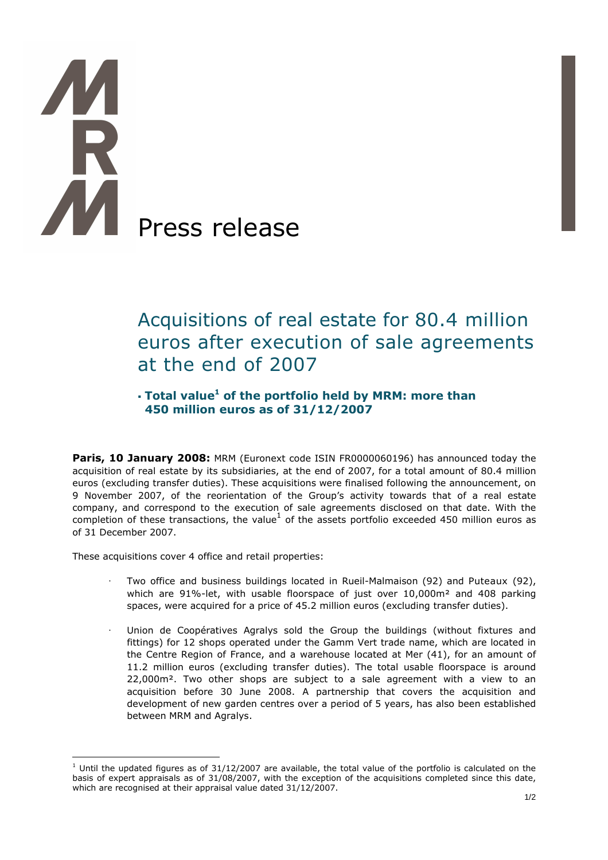# Press release

# Acquisitions of real estate for 80.4 million euros after execution of sale agreements at the end of 2007

## $\cdot$  Total value<sup>1</sup> of the portfolio held by MRM: more than 450 million euros as of 31/12/2007

**Paris, 10 January 2008:** MRM (Euronext code ISIN FR0000060196) has announced today the acquisition of real estate by its subsidiaries, at the end of 2007, for a total amount of 80.4 million euros (excluding transfer duties). These acquisitions were finalised following the announcement, on 9 November 2007, of the reorientation of the Group's activity towards that of a real estate company, and correspond to the execution of sale agreements disclosed on that date. With the completion of these transactions, the value $^1$  of the assets portfolio exceeded 450 million euros as of 31 December 2007.

These acquisitions cover 4 office and retail properties:

 $\overline{a}$ 

- · Two office and business buildings located in Rueil-Malmaison (92) and Puteaux (92), which are 91%-let, with usable floorspace of just over  $10,000m^2$  and 408 parking spaces, were acquired for a price of 45.2 million euros (excluding transfer duties).
- · Union de Coopératives Agralys sold the Group the buildings (without fixtures and fittings) for 12 shops operated under the Gamm Vert trade name, which are located in the Centre Region of France, and a warehouse located at Mer (41), for an amount of 11.2 million euros (excluding transfer duties). The total usable floorspace is around 22,000m². Two other shops are subject to a sale agreement with a view to an acquisition before 30 June 2008. A partnership that covers the acquisition and development of new garden centres over a period of 5 years, has also been established between MRM and Agralys.

 $<sup>1</sup>$  Until the updated figures as of 31/12/2007 are available, the total value of the portfolio is calculated on the</sup> basis of expert appraisals as of 31/08/2007, with the exception of the acquisitions completed since this date, which are recognised at their appraisal value dated 31/12/2007.